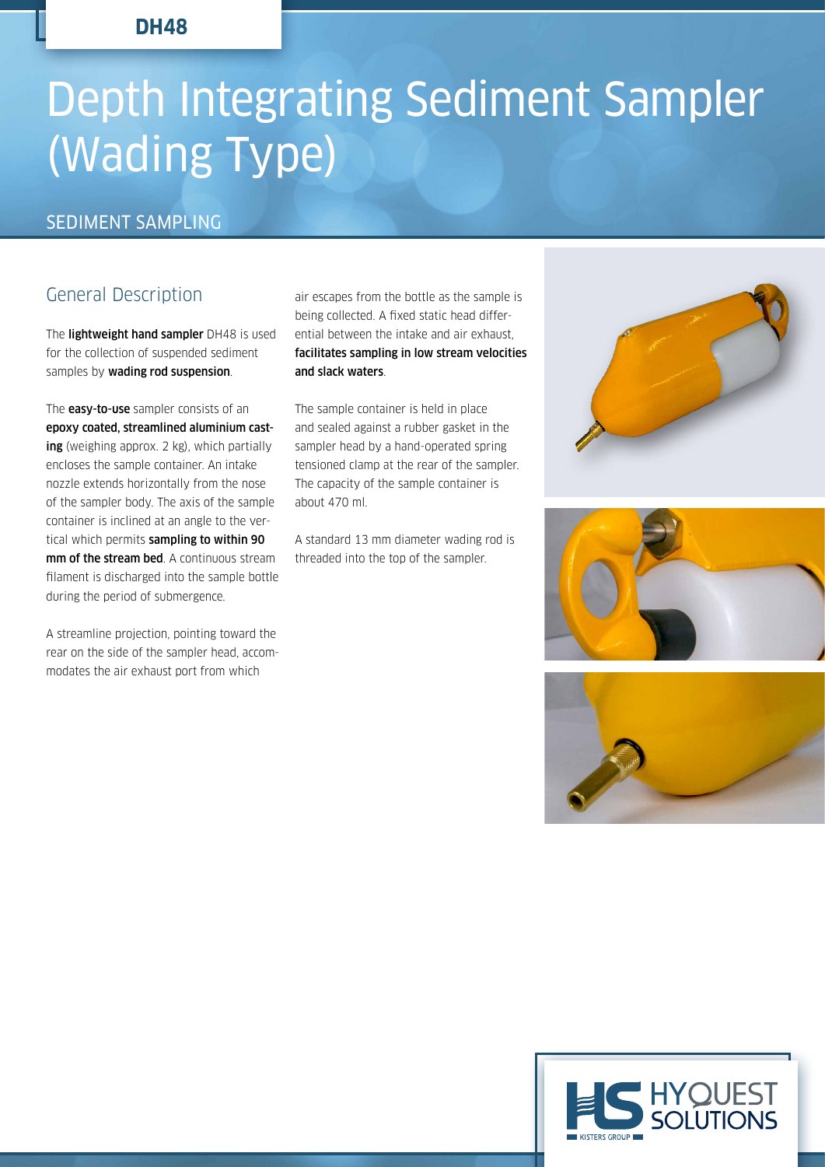## **DH48**

# Depth Integrating Sediment Sampler (Wading Type)

### SEDIMENT SAMPLING

# General Description

The lightweight hand sampler DH48 is used for the collection of suspended sediment samples by wading rod suspension.

The **easy-to-use** sampler consists of an epoxy coated, streamlined aluminium casting (weighing approx. 2 kg), which partially encloses the sample container. An intake nozzle extends horizontally from the nose of the sampler body. The axis of the sample container is inclined at an angle to the vertical which permits sampling to within 90 mm of the stream bed. A continuous stream filament is discharged into the sample bottle during the period of submergence.

A streamline projection, pointing toward the rear on the side of the sampler head, accommodates the air exhaust port from which

air escapes from the bottle as the sample is being collected. A fixed static head differential between the intake and air exhaust, facilitates sampling in low stream velocities and slack waters.

The sample container is held in place and sealed against a rubber gasket in the sampler head by a hand-operated spring tensioned clamp at the rear of the sampler. The capacity of the sample container is about 470 ml.

A standard 13 mm diameter wading rod is threaded into the top of the sampler.